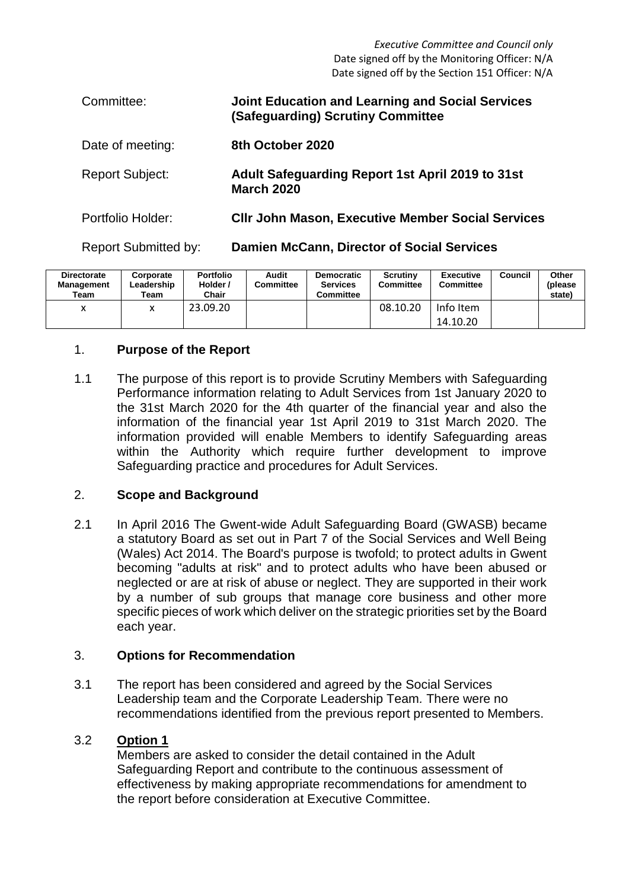*Executive Committee and Council only* Date signed off by the Monitoring Officer: N/A Date signed off by the Section 151 Officer: N/A

| Committee:                  | <b>Joint Education and Learning and Social Services</b><br>(Safeguarding) Scrutiny Committee |
|-----------------------------|----------------------------------------------------------------------------------------------|
| Date of meeting:            | 8th October 2020                                                                             |
| <b>Report Subject:</b>      | <b>Adult Safeguarding Report 1st April 2019 to 31st</b><br><b>March 2020</b>                 |
| Portfolio Holder:           | <b>CIIr John Mason, Executive Member Social Services</b>                                     |
| <b>Report Submitted by:</b> | <b>Damien McCann, Director of Social Services</b>                                            |

| <b>Directorate</b><br><b>Management</b><br>Team | Corporate<br>Leadership<br>Team | <b>Portfolio</b><br>Holder /<br>Chair | Audit<br>Committee | <b>Democratic</b><br><b>Services</b><br><b>Committee</b> | Scrutiny<br>Committee | Executive<br>Committee | Council | Other<br>(please<br>state) |
|-------------------------------------------------|---------------------------------|---------------------------------------|--------------------|----------------------------------------------------------|-----------------------|------------------------|---------|----------------------------|
| $\mathbf{\mathcal{L}}$                          |                                 | 23.09.20                              |                    |                                                          | 08.10.20              | Info Item              |         |                            |
|                                                 |                                 |                                       |                    |                                                          |                       | 14.10.20               |         |                            |

#### 1. **Purpose of the Report**

1.1 The purpose of this report is to provide Scrutiny Members with Safeguarding Performance information relating to Adult Services from 1st January 2020 to the 31st March 2020 for the 4th quarter of the financial year and also the information of the financial year 1st April 2019 to 31st March 2020. The information provided will enable Members to identify Safeguarding areas within the Authority which require further development to improve Safeguarding practice and procedures for Adult Services.

#### 2. **Scope and Background**

2.1 In April 2016 The Gwent-wide Adult Safeguarding Board (GWASB) became a statutory Board as set out in Part 7 of the Social Services and Well Being (Wales) Act 2014. The Board's purpose is twofold; to protect adults in Gwent becoming "adults at risk" and to protect adults who have been abused or neglected or are at risk of abuse or neglect. They are supported in their work by a number of sub groups that manage core business and other more specific pieces of work which deliver on the strategic priorities set by the Board each year.

#### 3. **Options for Recommendation**

3.1 The report has been considered and agreed by the Social Services Leadership team and the Corporate Leadership Team*.* There were no recommendations identified from the previous report presented to Members.

### 3.2 **Option 1**

Members are asked to consider the detail contained in the Adult Safeguarding Report and contribute to the continuous assessment of effectiveness by making appropriate recommendations for amendment to the report before consideration at Executive Committee.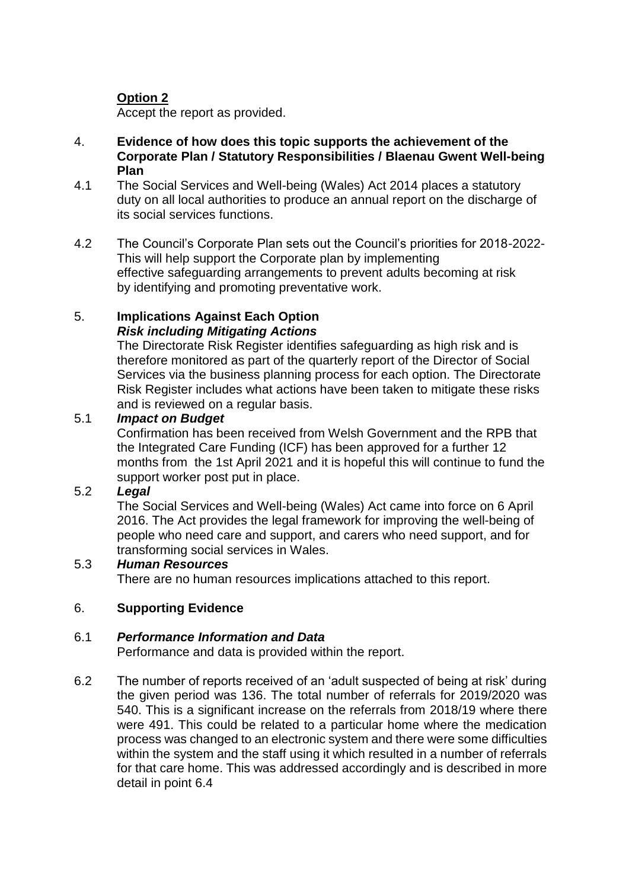# **Option 2**

Accept the report as provided.

- 4. **Evidence of how does this topic supports the achievement of the Corporate Plan / Statutory Responsibilities / Blaenau Gwent Well-being Plan**
- 4.1 The Social Services and Well-being (Wales) Act 2014 places a statutory duty on all local authorities to produce an annual report on the discharge of its social services functions.
- 4.2 The Council's Corporate Plan sets out the Council's priorities for 2018-2022- This will help support the Corporate plan by implementing effective safeguarding arrangements to prevent adults becoming at risk by identifying and promoting preventative work.

### 5. **Implications Against Each Option**  *Risk including Mitigating Actions*

The Directorate Risk Register identifies safeguarding as high risk and is therefore monitored as part of the quarterly report of the Director of Social Services via the business planning process for each option. The Directorate Risk Register includes what actions have been taken to mitigate these risks and is reviewed on a regular basis.

# 5.1 *Impact on Budget*

Confirmation has been received from Welsh Government and the RPB that the Integrated Care Funding (ICF) has been approved for a further 12 months from the 1st April 2021 and it is hopeful this will continue to fund the support worker post put in place.

#### 5.2 *Legal*

The Social Services and Well-being (Wales) Act came into force on 6 April 2016. The Act provides the legal framework for improving the well-being of people who need care and support, and carers who need support, and for transforming social services in Wales.

#### 5.3 *Human Resources*

There are no human resources implications attached to this report.

# 6. **Supporting Evidence**

#### 6.1 *Performance Information and Data*

Performance and data is provided within the report.

6.2 The number of reports received of an 'adult suspected of being at risk' during the given period was 136. The total number of referrals for 2019/2020 was 540. This is a significant increase on the referrals from 2018/19 where there were 491. This could be related to a particular home where the medication process was changed to an electronic system and there were some difficulties within the system and the staff using it which resulted in a number of referrals for that care home. This was addressed accordingly and is described in more detail in point 6.4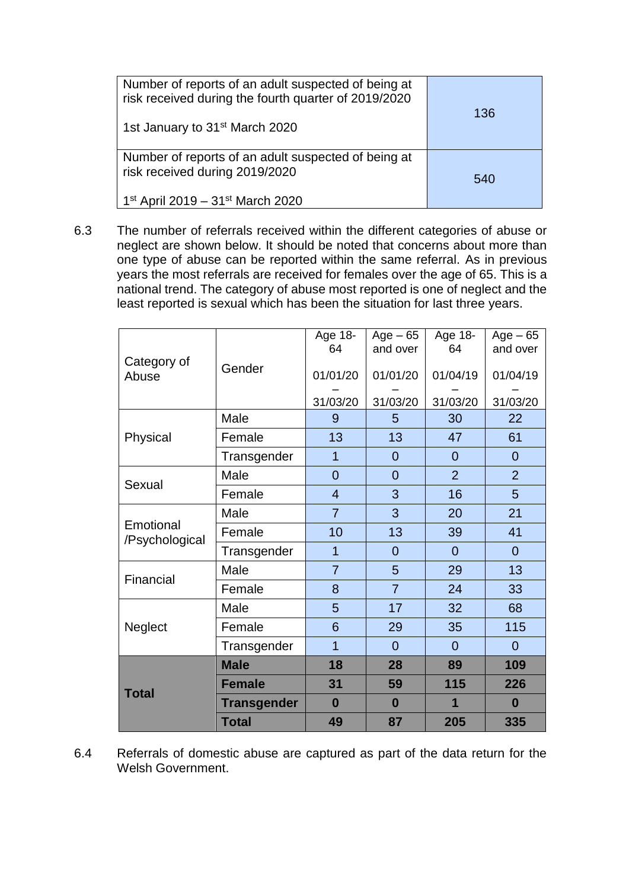| Number of reports of an adult suspected of being at<br>risk received during the fourth quarter of 2019/2020<br>1st January to 31 <sup>st</sup> March 2020 | 136 |
|-----------------------------------------------------------------------------------------------------------------------------------------------------------|-----|
| Number of reports of an adult suspected of being at<br>risk received during 2019/2020<br>  1st April 2019 – 31st March 2020                               | 540 |

6.3 The number of referrals received within the different categories of abuse or neglect are shown below. It should be noted that concerns about more than one type of abuse can be reported within the same referral. As in previous years the most referrals are received for females over the age of 65. This is a national trend. The category of abuse most reported is one of neglect and the least reported is sexual which has been the situation for last three years.

|                             |                    | Age 18-<br>64  | $Age - 65$<br>and over | Age 18-<br>64  | $Age - 65$<br>and over |
|-----------------------------|--------------------|----------------|------------------------|----------------|------------------------|
| Category of<br>Abuse        | Gender             | 01/01/20       | 01/01/20               | 01/04/19       | 01/04/19               |
|                             |                    | 31/03/20       | 31/03/20               | 31/03/20       | 31/03/20               |
|                             | Male               | 9              | 5                      | 30             | 22                     |
| Physical                    | Female             | 13             | 13                     | 47             | 61                     |
|                             | Transgender        | 1              | $\overline{0}$         | $\overline{0}$ | $\overline{0}$         |
| Sexual                      | Male               | $\overline{0}$ | $\overline{0}$         | $\overline{2}$ | $\overline{2}$         |
|                             | Female             | $\overline{4}$ | 3                      | 16             | 5                      |
|                             | Male               | $\overline{7}$ | 3                      | 20             | 21                     |
| Emotional<br>/Psychological | Female             | 10             | 13                     | 39             | 41                     |
|                             | Transgender        | 1              | $\overline{0}$         | $\overline{0}$ | $\overline{0}$         |
| Financial                   | Male               | $\overline{7}$ | 5                      | 29             | 13                     |
|                             | Female             | 8              | $\overline{7}$         | 24             | 33                     |
|                             | Male               | 5              | 17                     | 32             | 68                     |
| Neglect                     | Female             | 6              | 29                     | 35             | 115                    |
|                             | Transgender        | 1              | $\overline{0}$         | $\overline{0}$ | $\overline{0}$         |
|                             | <b>Male</b>        | 18             | 28                     | 89             | 109                    |
| <b>Total</b>                | <b>Female</b>      | 31             | 59                     | 115            | 226                    |
|                             | <b>Transgender</b> | $\bf{0}$       | $\bf{0}$               | 1              | $\bf{0}$               |
|                             | <b>Total</b>       | 49             | 87                     | 205            | 335                    |

6.4 Referrals of domestic abuse are captured as part of the data return for the Welsh Government.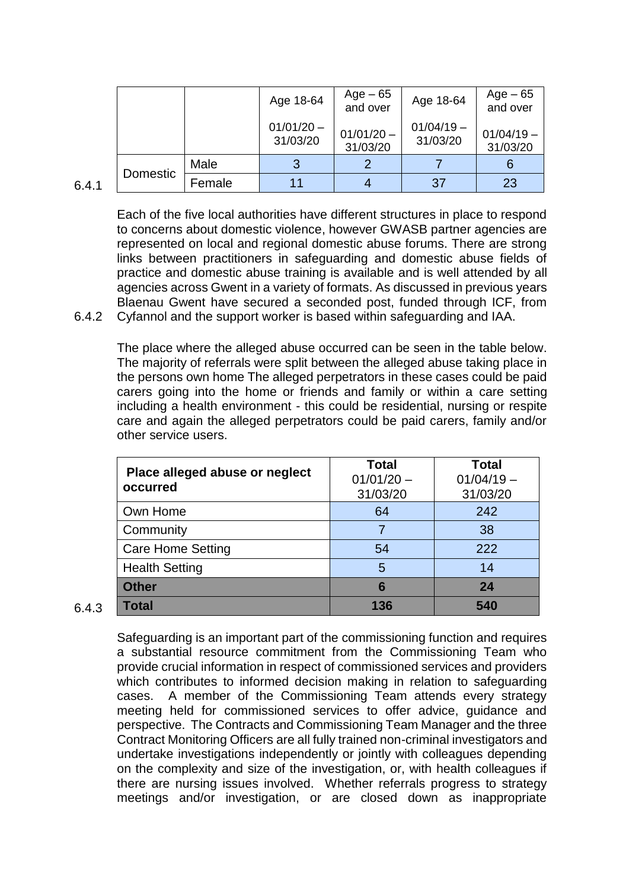|          |        |      | Age 18-64                | $Age-65$<br>and over     | Age 18-64                | Age – 65<br>and over     |
|----------|--------|------|--------------------------|--------------------------|--------------------------|--------------------------|
|          |        |      | $01/01/20 -$<br>31/03/20 | $01/01/20 -$<br>31/03/20 | $01/04/19 -$<br>31/03/20 | $01/04/19 -$<br>31/03/20 |
|          |        | Male | 3                        |                          |                          |                          |
| Domestic | Female |      |                          | 37                       | 23                       |                          |

6.4.1

Each of the five local authorities have different structures in place to respond to concerns about domestic violence, however GWASB partner agencies are represented on local and regional domestic abuse forums. There are strong links between practitioners in safeguarding and domestic abuse fields of practice and domestic abuse training is available and is well attended by all agencies across Gwent in a variety of formats. As discussed in previous years Blaenau Gwent have secured a seconded post, funded through ICF, from

6.4.2 Cyfannol and the support worker is based within safeguarding and IAA.

The place where the alleged abuse occurred can be seen in the table below. The majority of referrals were split between the alleged abuse taking place in the persons own home The alleged perpetrators in these cases could be paid carers going into the home or friends and family or within a care setting including a health environment - this could be residential, nursing or respite care and again the alleged perpetrators could be paid carers, family and/or other service users.

| Place alleged abuse or neglect<br>occurred | Total<br>$01/01/20 -$<br>31/03/20 | Total<br>$01/04/19 -$<br>31/03/20 |  |
|--------------------------------------------|-----------------------------------|-----------------------------------|--|
| Own Home                                   | 64                                | 242                               |  |
| Community                                  |                                   | 38                                |  |
| <b>Care Home Setting</b>                   | 54                                | 222                               |  |
| <b>Health Setting</b>                      | 5                                 | 14                                |  |
| <b>Other</b>                               | 6                                 | 24                                |  |
| Total                                      | 136                               | 540                               |  |

<sup>6.4.3</sup>

Safeguarding is an important part of the commissioning function and requires a substantial resource commitment from the Commissioning Team who provide crucial information in respect of commissioned services and providers which contributes to informed decision making in relation to safeguarding cases. A member of the Commissioning Team attends every strategy meeting held for commissioned services to offer advice, guidance and perspective. The Contracts and Commissioning Team Manager and the three Contract Monitoring Officers are all fully trained non-criminal investigators and undertake investigations independently or jointly with colleagues depending on the complexity and size of the investigation, or, with health colleagues if there are nursing issues involved. Whether referrals progress to strategy meetings and/or investigation, or are closed down as inappropriate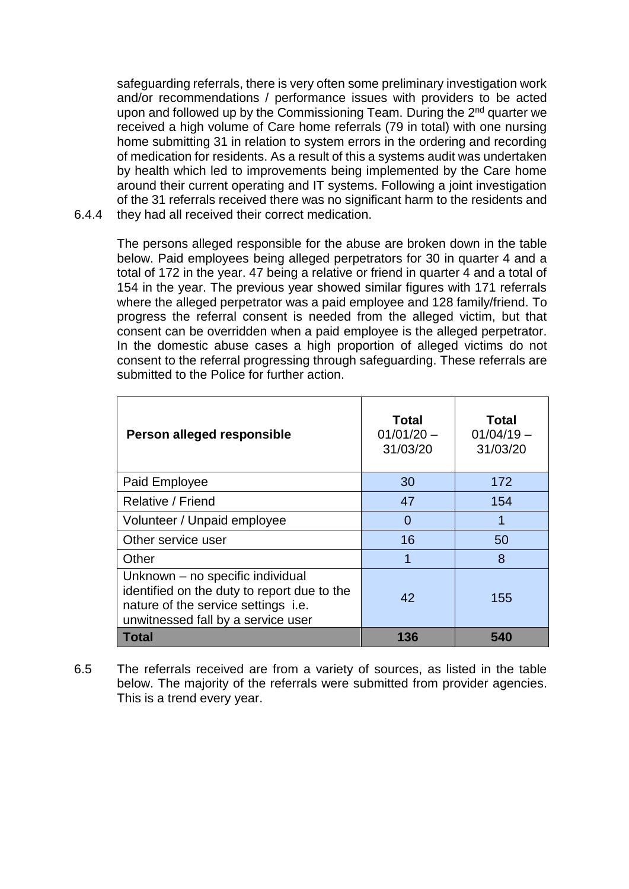safeguarding referrals, there is very often some preliminary investigation work and/or recommendations / performance issues with providers to be acted upon and followed up by the Commissioning Team. During the 2<sup>nd</sup> quarter we received a high volume of Care home referrals (79 in total) with one nursing home submitting 31 in relation to system errors in the ordering and recording of medication for residents. As a result of this a systems audit was undertaken by health which led to improvements being implemented by the Care home around their current operating and IT systems. Following a joint investigation of the 31 referrals received there was no significant harm to the residents and

6.4.4 they had all received their correct medication.

> The persons alleged responsible for the abuse are broken down in the table below. Paid employees being alleged perpetrators for 30 in quarter 4 and a total of 172 in the year. 47 being a relative or friend in quarter 4 and a total of 154 in the year. The previous year showed similar figures with 171 referrals where the alleged perpetrator was a paid employee and 128 family/friend. To progress the referral consent is needed from the alleged victim, but that consent can be overridden when a paid employee is the alleged perpetrator. In the domestic abuse cases a high proportion of alleged victims do not consent to the referral progressing through safeguarding. These referrals are submitted to the Police for further action.

| Person alleged responsible                                                                                                                                   | <b>Total</b><br>$01/01/20 -$<br>31/03/20 | Total<br>$01/04/19 -$<br>31/03/20 |
|--------------------------------------------------------------------------------------------------------------------------------------------------------------|------------------------------------------|-----------------------------------|
| Paid Employee                                                                                                                                                | 30                                       | 172                               |
| Relative / Friend                                                                                                                                            | 47                                       | 154                               |
| Volunteer / Unpaid employee                                                                                                                                  | 0                                        | 1                                 |
| Other service user                                                                                                                                           | 16                                       | 50                                |
| Other                                                                                                                                                        | 1                                        | 8                                 |
| Unknown - no specific individual<br>identified on the duty to report due to the<br>nature of the service settings i.e.<br>unwitnessed fall by a service user | 42                                       | 155                               |
| <b>Total</b>                                                                                                                                                 | 136                                      | 540                               |

6.5 The referrals received are from a variety of sources, as listed in the table below. The majority of the referrals were submitted from provider agencies. This is a trend every year.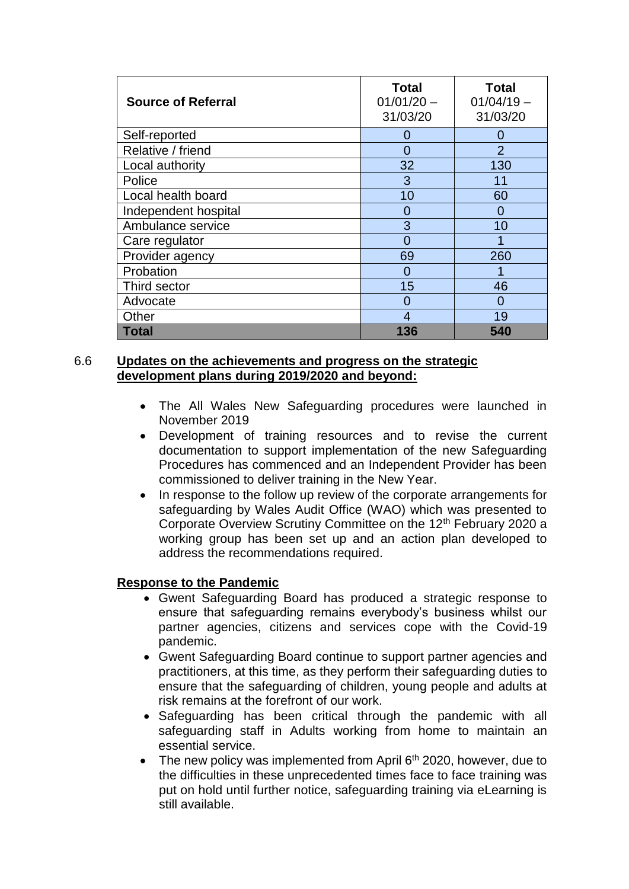| <b>Source of Referral</b> | <b>Total</b><br>$01/01/20 -$<br>31/03/20 | <b>Total</b><br>$01/04/19 -$<br>31/03/20 |
|---------------------------|------------------------------------------|------------------------------------------|
| Self-reported             | 0                                        | 0                                        |
| Relative / friend         | 0                                        | $\overline{2}$                           |
| Local authority           | 32                                       | 130                                      |
| Police                    | 3                                        | 11                                       |
| Local health board        | 10                                       | 60                                       |
| Independent hospital      | 0                                        | $\Omega$                                 |
| Ambulance service         | 3                                        | 10                                       |
| Care regulator            | 0                                        |                                          |
| Provider agency           | 69                                       | 260                                      |
| Probation                 | 0                                        |                                          |
| Third sector              | 15                                       | 46                                       |
| Advocate                  | 0                                        | $\Omega$                                 |
| Other                     | 4                                        | 19                                       |
| <b>Total</b>              | 136                                      | 540                                      |

#### 6.6 **Updates on the achievements and progress on the strategic development plans during 2019/2020 and beyond:**

- The All Wales New Safeguarding procedures were launched in November 2019
- Development of training resources and to revise the current documentation to support implementation of the new Safeguarding Procedures has commenced and an Independent Provider has been commissioned to deliver training in the New Year.
- In response to the follow up review of the corporate arrangements for safeguarding by Wales Audit Office (WAO) which was presented to Corporate Overview Scrutiny Committee on the 12<sup>th</sup> February 2020 a working group has been set up and an action plan developed to address the recommendations required.

#### **Response to the Pandemic**

- Gwent Safeguarding Board has produced a strategic response to ensure that safeguarding remains everybody's business whilst our partner agencies, citizens and services cope with the Covid-19 pandemic.
- Gwent Safeguarding Board continue to support partner agencies and practitioners, at this time, as they perform their safeguarding duties to ensure that the safeguarding of children, young people and adults at risk remains at the forefront of our work.
- Safeguarding has been critical through the pandemic with all safeguarding staff in Adults working from home to maintain an essential service.
- $\bullet$  The new policy was implemented from April 6<sup>th</sup> 2020, however, due to the difficulties in these unprecedented times face to face training was put on hold until further notice, safeguarding training via eLearning is still available.